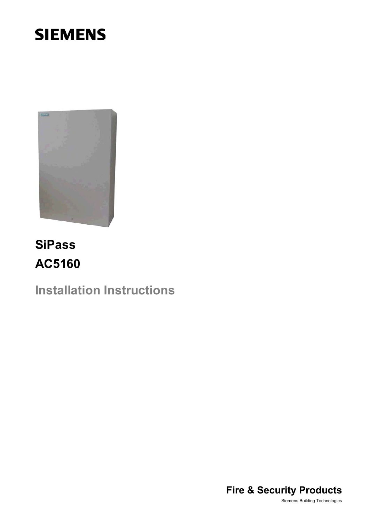# **SIEMENS**



# **SiPass AC5160**

**Installation Instructions** 



Siemens Building Technologies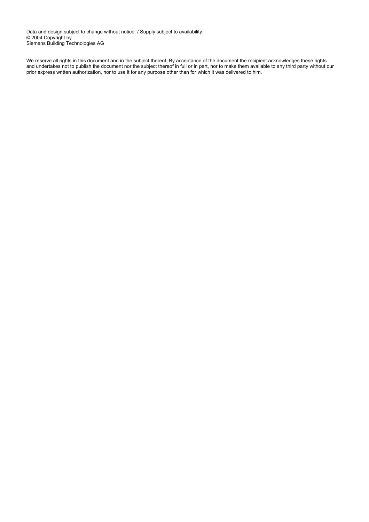Data and design subject to change without notice. / Supply subject to availability. © 2004 Copyright by Siemens Building Technologies AG

We reserve all rights in this document and in the subject thereof. By acceptance of the document the recipient acknowledges these rights and undertakes not to publish the document nor the subject thereof in full or in part, nor to make them available to any third party without our prior express written authorization, nor to use it for any purpose other than for which it was delivered to him.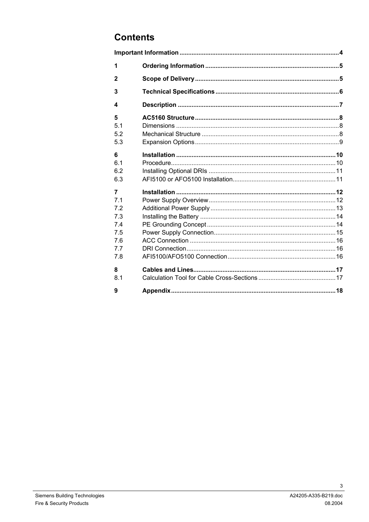#### **Contents**

| 1            |  |
|--------------|--|
| $\mathbf{2}$ |  |
| 3            |  |
| 4            |  |
| 5            |  |
| 5.1          |  |
| 5.2          |  |
| 5.3          |  |
| 6            |  |
| 6.1          |  |
| 6.2          |  |
| 6.3          |  |
| 7            |  |
| 7.1          |  |
| 7.2          |  |
| 7.3          |  |
| 7.4          |  |
| 7.5          |  |
| 7.6          |  |
| 7.7          |  |
| 7.8          |  |
| 8            |  |
| 8.1          |  |
| 9            |  |

 $\mathbf{3}$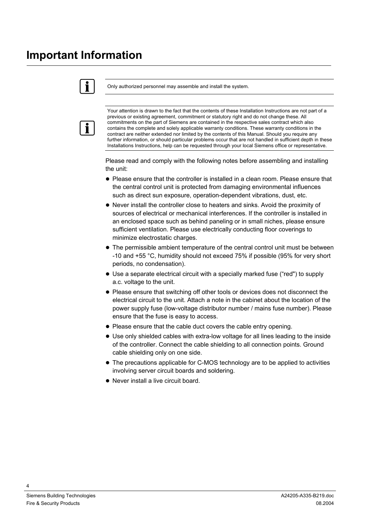### <span id="page-3-0"></span>**Important Information**

#### Only authorized personnel may assemble and install the system.



Ť.

Your attention is drawn to the fact that the contents of these Installation Instructions are not part of a previous or existing agreement, commitment or statutory right and do not change these. All commitments on the part of Siemens are contained in the respective sales contract which also contains the complete and solely applicable warranty conditions. These warranty conditions in the contract are neither extended nor limited by the contents of this Manual. Should you require any further information, or should particular problems occur that are not handled in sufficient depth in these Installations Instructions, help can be requested through your local Siemens office or representative.

Please read and comply with the following notes before assembling and installing the unit:

- Please ensure that the controller is installed in a clean room. Please ensure that the central control unit is protected from damaging environmental influences such as direct sun exposure, operation-dependent vibrations, dust, etc.
- Never install the controller close to heaters and sinks. Avoid the proximity of sources of electrical or mechanical interferences. If the controller is installed in an enclosed space such as behind paneling or in small niches, please ensure sufficient ventilation. Please use electrically conducting floor coverings to minimize electrostatic charges.
- The permissible ambient temperature of the central control unit must be between -10 and +55 °C, humidity should not exceed 75% if possible (95% for very short periods, no condensation).
- Use a separate electrical circuit with a specially marked fuse ("red") to supply a.c. voltage to the unit.
- Please ensure that switching off other tools or devices does not disconnect the electrical circuit to the unit. Attach a note in the cabinet about the location of the power supply fuse (low-voltage distributor number / mains fuse number). Please ensure that the fuse is easy to access.
- Please ensure that the cable duct covers the cable entry opening.
- Use only shielded cables with extra-low voltage for all lines leading to the inside of the controller. Connect the cable shielding to all connection points. Ground cable shielding only on one side.
- The precautions applicable for C-MOS technology are to be applied to activities involving server circuit boards and soldering.
- Never install a live circuit board.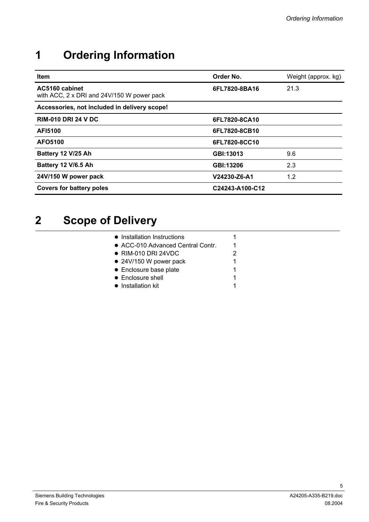## <span id="page-4-0"></span>**1 Ordering Information**

| Item                                                         | Order No.       | Weight (approx. kg) |
|--------------------------------------------------------------|-----------------|---------------------|
| AC5160 cabinet<br>with ACC, 2 x DRI and 24V/150 W power pack | 6FL7820-8BA16   | 21.3                |
| Accessories, not included in delivery scope!                 |                 |                     |
| <b>RIM-010 DRI 24 V DC</b>                                   | 6FL7820-8CA10   |                     |
| <b>AFI5100</b>                                               | 6FL7820-8CB10   |                     |
| AFO5100                                                      | 6FL7820-8CC10   |                     |
| Battery 12 V/25 Ah                                           | GBI:13013       | 9.6                 |
| Battery 12 V/6.5 Ah                                          | GBI:13206       | 2.3                 |
| 24V/150 W power pack                                         | V24230-Z6-A1    | 1.2                 |
| <b>Covers for battery poles</b>                              | C24243-A100-C12 |                     |

## **2 Scope of Delivery**

| • Installation Instructions       |   |
|-----------------------------------|---|
| • ACC-010 Advanced Central Contr. | 1 |
| $\bullet$ RIM-010 DRI 24VDC       | 2 |
| $\bullet$ 24V/150 W power pack    | 1 |
| • Enclosure base plate            | 1 |
| • Enclosure shell                 | 1 |
| • Installation kit                |   |
|                                   |   |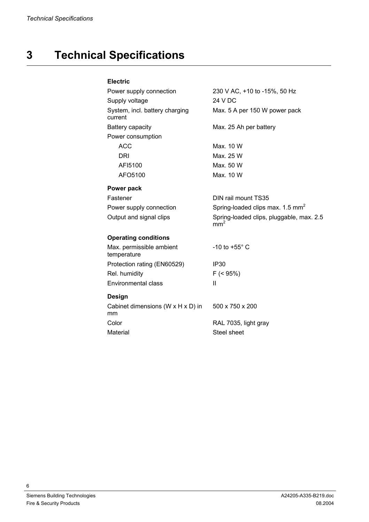## <span id="page-5-0"></span>**3 Technical Specifications**

#### **Electric**

| Power supply connection                   | 230 V AC, +10 to -15%, 50 Hz                                |
|-------------------------------------------|-------------------------------------------------------------|
| Supply voltage                            | 24 V DC                                                     |
| System, incl. battery charging<br>current | Max. 5 A per 150 W power pack                               |
| Battery capacity                          | Max. 25 Ah per battery                                      |
| Power consumption                         |                                                             |
| <b>ACC</b>                                | Max. 10 W                                                   |
| DRI                                       | Max. 25 W                                                   |
| AF15100                                   | Max. 50 W                                                   |
| AFO5100                                   | Max. 10 W                                                   |
| Power pack                                |                                                             |
| Fastener                                  | DIN rail mount TS35                                         |
| Power supply connection                   | Spring-loaded clips max. 1.5 mm <sup>2</sup>                |
| Output and signal clips                   | Spring-loaded clips, pluggable, max. 2.5<br>mm <sup>2</sup> |
| <b>Operating conditions</b>               |                                                             |
| Max. permissible ambient<br>temperature   | -10 to +55 $^{\circ}$ C                                     |
| Protection rating (EN60529)               | IP <sub>30</sub>                                            |
|                                           |                                                             |

| Max. permissible ambient<br>temperature | -10 to +55 $^{\circ}$ C |
|-----------------------------------------|-------------------------|
| Protection rating (EN60529)             | IP <sub>30</sub>        |
| Rel. humidity                           | $F ( 95\%)$             |
| <b>Environmental class</b>              | Ш                       |

#### **Design**

| Cabinet dimensions (W x H x D) in<br>mm | $500 \times 750 \times 200$ |
|-----------------------------------------|-----------------------------|
| Color                                   | RAL 7035, light gray        |
| Material                                | Steel sheet                 |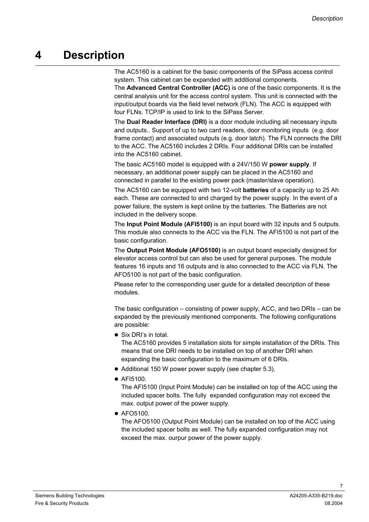### <span id="page-6-0"></span>**4 Description**

The AC5160 is a cabinet for the basic components of the SiPass access control system. This cabinet can be expanded with additional components.

The **Advanced Central Controller (ACC)** is one of the basic components. It is the central analysis unit for the access control system. This unit is connected with the input/output boards via the field level network (FLN). The ACC is equipped with four FLNs. TCP/IP is used to link to the SiPass Server.

The **Dual Reader Interface (DRI)** is a door module including all necessary inputs and outputs.. Support of up to two card readers, door monitoring inputs (e.g. door frame contact) and associated outputs (e.g. door latch). The FLN connects the DRI to the ACC. The AC5160 includes 2 DRIs. Four additional DRIs can be installed into the AC5160 cabinet.

The basic AC5160 model is equipped with a 24V/150 W **power supply**. If necessary, an additional power supply can be placed in the AC5160 and connected in parallel to the existing power pack (master/slave operation).

The AC5160 can be equipped with two 12-volt **batteries** of a capacity up to 25 Ah each. These are connected to and charged by the power supply. In the event of a power failure, the system is kept online by the batteries. The Batteries are not included in the delivery scope.

The **Input Point Module (AFI5100)** is an input board with 32 inputs and 5 outputs. This module also connects to the ACC via the FLN. The AFI5100 is not part of the basic configuration.

The **Output Point Module (AFO5100)** is an output board especially designed for elevator access control but can also be used for general purposes. The module features 16 inputs and 16 outputs and is also connected to the ACC via FLN. The AFO5100 is not part of the basic configuration.

Please refer to the corresponding user guide for a detailed description of these modules.

The basic configuration – consisting of power supply, ACC, and two DRIs – can be expanded by the previously mentioned components. The following configurations are possible:

• Six DRI's in total.

The AC5160 provides 5 installation slots for simple installation of the DRIs. This means that one DRI needs to be installed on top of another DRI when expanding the basic configuration to the maximum of 6 DRIs.

- Additional 150 W power power supply (see chapter 5.3).
- $\bullet$  AFI5100.

The AFI5100 (Input Point Module) can be installed on top of the ACC using the included spacer bolts. The fully expanded configuration may not exceed the max. output power of the power supply.

 $\bullet$  AFO5100.

The AFO5100 (Output Point Module) can be installed on top of the ACC using the included spacer bolts as well. The fully expanded configuration may not exceed the max. ourpur power of the power supply.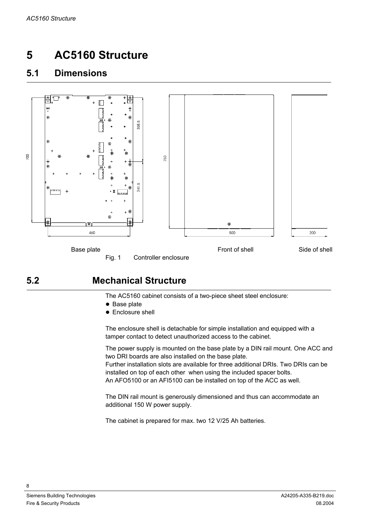## <span id="page-7-0"></span>**5 AC5160 Structure**

#### **5.1 Dimensions**



#### **5.2 Mechanical Structure**

The AC5160 cabinet consists of a two-piece sheet steel enclosure:

- $\bullet$  Base plate
- Enclosure shell

The enclosure shell is detachable for simple installation and equipped with a tamper contact to detect unauthorized access to the cabinet.

The power supply is mounted on the base plate by a DIN rail mount. One ACC and two DRI boards are also installed on the base plate.

Further installation slots are available for three additional DRIs. Two DRIs can be installed on top of each other when using the included spacer bolts. An AFO5100 or an AFI5100 can be installed on top of the ACC as well.

The DIN rail mount is generously dimensioned and thus can accommodate an additional 150 W power supply.

The cabinet is prepared for max. two 12 V/25 Ah batteries.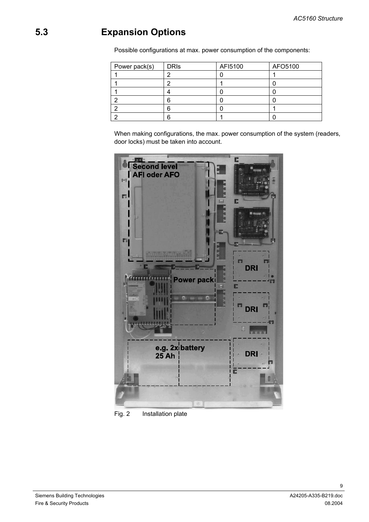### <span id="page-8-0"></span>**5.3 Expansion Options**

Possible configurations at max. power consumption of the components:

| Power pack(s) | <b>DRIS</b> | AFI5100 | AFO5100 |
|---------------|-------------|---------|---------|
|               |             |         |         |
|               |             |         |         |
|               |             |         |         |
|               | F           |         |         |
| ╭             | 6           |         |         |
|               | ี           |         |         |

When making configurations, the max. power consumption of the system (readers, door locks) must be taken into account.



Fig. 2 Installation plate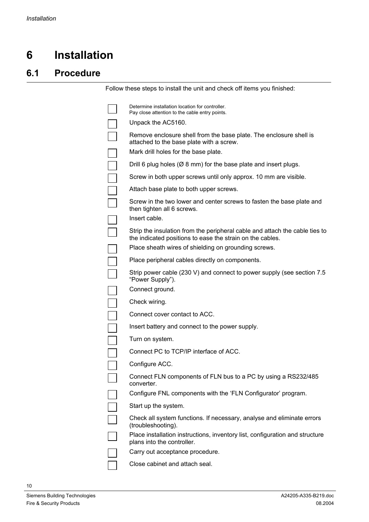## <span id="page-9-0"></span>**6 Installation**

#### **6.1 Procedure**

Follow these steps to install the unit and check off items you finished:

| Determine installation location for controller.<br>Pay close attention to the cable entry points.                                        |
|------------------------------------------------------------------------------------------------------------------------------------------|
| Unpack the AC5160.                                                                                                                       |
| Remove enclosure shell from the base plate. The enclosure shell is<br>attached to the base plate with a screw.                           |
| Mark drill holes for the base plate.                                                                                                     |
| Drill 6 plug holes ( $\varnothing$ 8 mm) for the base plate and insert plugs.                                                            |
| Screw in both upper screws until only approx. 10 mm are visible.                                                                         |
| Attach base plate to both upper screws.                                                                                                  |
| Screw in the two lower and center screws to fasten the base plate and<br>then tighten all 6 screws.                                      |
| Insert cable.                                                                                                                            |
| Strip the insulation from the peripheral cable and attach the cable ties to<br>the indicated positions to ease the strain on the cables. |
| Place sheath wires of shielding on grounding screws.                                                                                     |
| Place peripheral cables directly on components.                                                                                          |
| Strip power cable (230 V) and connect to power supply (see section 7.5<br>"Power Supply").                                               |
| Connect ground.                                                                                                                          |
| Check wiring.                                                                                                                            |
| Connect cover contact to ACC.                                                                                                            |
| Insert battery and connect to the power supply.                                                                                          |
| Turn on system.                                                                                                                          |
| Connect PC to TCP/IP interface of ACC.                                                                                                   |
| Configure ACC.                                                                                                                           |
| Connect FLN components of FLN bus to a PC by using a RS232/485<br>converter.                                                             |
| Configure FNL components with the 'FLN Configurator' program.                                                                            |
| Start up the system.                                                                                                                     |
| Check all system functions. If necessary, analyse and eliminate errors<br>(troubleshooting).                                             |
| Place installation instructions, inventory list, configuration and structure<br>plans into the controller.                               |
| Carry out acceptance procedure.                                                                                                          |
| Close cabinet and attach seal.                                                                                                           |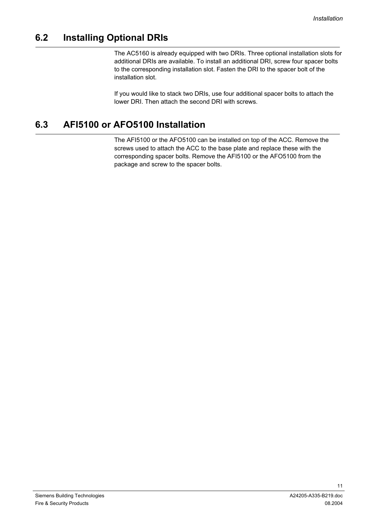#### <span id="page-10-0"></span>**6.2 Installing Optional DRIs**

The AC5160 is already equipped with two DRIs. Three optional installation slots for additional DRIs are available. To install an additional DRI, screw four spacer bolts to the corresponding installation slot. Fasten the DRI to the spacer bolt of the installation slot.

If you would like to stack two DRIs, use four additional spacer bolts to attach the lower DRI. Then attach the second DRI with screws.

#### **6.3 AFI5100 or AFO5100 Installation**

The AFI5100 or the AFO5100 can be installed on top of the ACC. Remove the screws used to attach the ACC to the base plate and replace these with the corresponding spacer bolts. Remove the AFI5100 or the AFO5100 from the package and screw to the spacer bolts.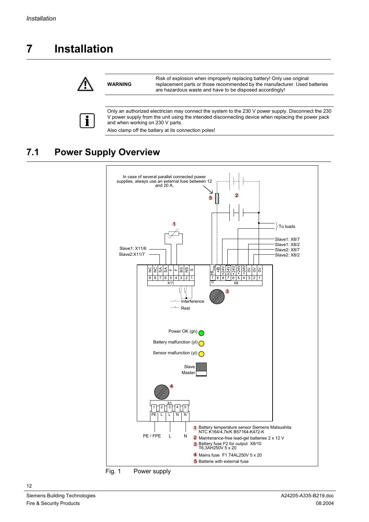## <span id="page-11-0"></span>**7 Installation**



**WARNING**

Risk of explosion when improperly replacing battery! Only use original replacement parts or those recommended by the manufacturer. Used batteries are hazardous waste and have to be disposed accordingly!



Only an authorized electrician may connect the system to the 230 V power supply. Disconnect the 230 V power supply from the unit using the intended disconnecting device when replacing the power pack and when working on 230 V parts.

Also clamp off the battery at its connection poles!

### **7.1 Power Supply Overview**



Fig. 1 Power supply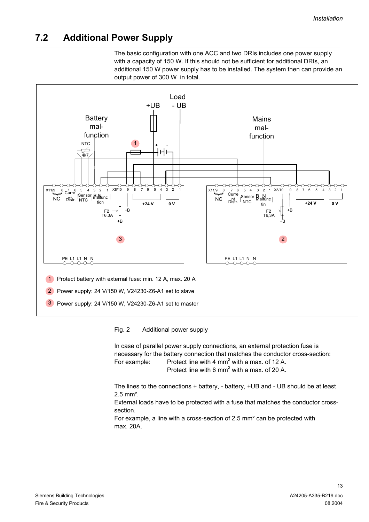#### <span id="page-12-0"></span>**7.2 Additional Power Supply**

The basic configuration with one ACC and two DRIs includes one power supply with a capacity of 150 W. If this should not be sufficient for additional DRIs, an additional 150 W power supply has to be installed. The system then can provide an output power of 300 W in total.



Fig. 2 Additional power supply

In case of parallel power supply connections, an external protection fuse is necessary for the battery connection that matches the conductor cross-section: For example: Protect line with 4 mm<sup>2</sup> with a max. of 12 A. Protect line with 6  $mm<sup>2</sup>$  with a max. of 20 A.

The lines to the connections + battery, - battery, +UB and - UB should be at least 2.5 mm².

External loads have to be protected with a fuse that matches the conductor crosssection.

For example, a line with a cross-section of 2.5 mm² can be protected with max. 20A.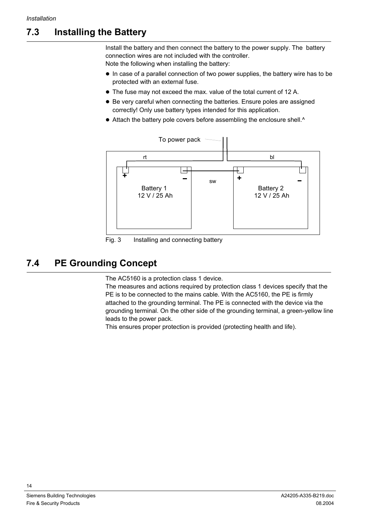### <span id="page-13-0"></span>**7.3 Installing the Battery**

Install the battery and then connect the battery to the power supply. The battery connection wires are not included with the controller.

Note the following when installing the battery:

- $\bullet$  In case of a parallel connection of two power supplies, the battery wire has to be protected with an external fuse.
- The fuse may not exceed the max. value of the total current of 12 A.
- Be very careful when connecting the batteries. Ensure poles are assigned correctly! Only use battery types intended for this application.
- Attach the battery pole covers before assembling the enclosure shell.^



Fig. 3 Installing and connecting battery

#### **7.4 PE Grounding Concept**

The AC5160 is a protection class 1 device.

The measures and actions required by protection class 1 devices specify that the PE is to be connected to the mains cable. With the AC5160, the PE is firmly attached to the grounding terminal. The PE is connected with the device via the grounding terminal. On the other side of the grounding terminal, a green-yellow line leads to the power pack.

This ensures proper protection is provided (protecting health and life).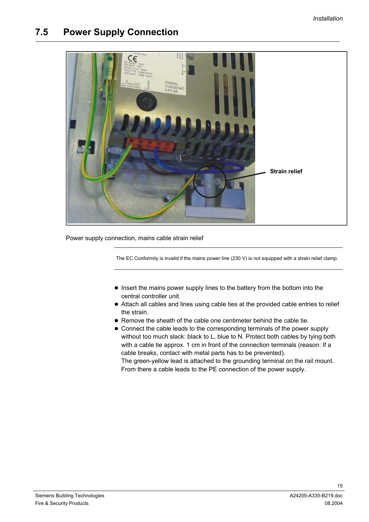#### <span id="page-14-0"></span>**7.5 Power Supply Connection**

<span id="page-14-1"></span>

Power supply connection, mains cable strain relief

The EC Conformity is invalid if the mains power line (230 V) is not equipped with a strain relief clamp.

- Insert the mains power supply lines to the battery from the bottom into the central controller unit.
- Attach all cables and lines using cable ties at the provided cable entries to relief the strain.
- Remove the sheath of the cable one centimeter behind the cable tie.
- Connect the cable leads to the corresponding terminals of the power supply without too much slack: black to L, blue to N. Protect both cables by tying both with a cable tie approx. 1 cm in front of the connection terminals (reason: If a cable breaks, contact with metal parts has to be prevented). The green-yellow lead is attached to the grounding terminal on the rail mount.

From there a cable leads to the PE connection of the power supply.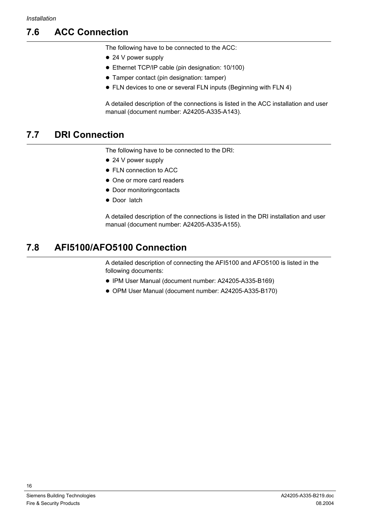### <span id="page-15-0"></span>**7.6 ACC Connection**

The following have to be connected to the ACC:

- $\bullet$  24 V power supply
- Ethernet TCP/IP cable (pin designation: 10/100)
- Tamper contact (pin designation: tamper)
- FLN devices to one or several FLN inputs (Beginning with FLN 4)

A detailed description of the connections is listed in the ACC installation and user manual (document number: A24205-A335-A143).

#### **7.7 DRI Connection**

The following have to be connected to the DRI:

- $\bullet$  24 V power supply
- FLN connection to ACC
- One or more card readers
- Door monitoringcontacts
- Door latch

A detailed description of the connections is listed in the DRI installation and user manual (document number: A24205-A335-A155).

#### **7.8 AFI5100/AFO5100 Connection**

A detailed description of connecting the AFI5100 and AFO5100 is listed in the following documents:

- IPM User Manual (document number: A24205-A335-B169)
- OPM User Manual (document number: A24205-A335-B170)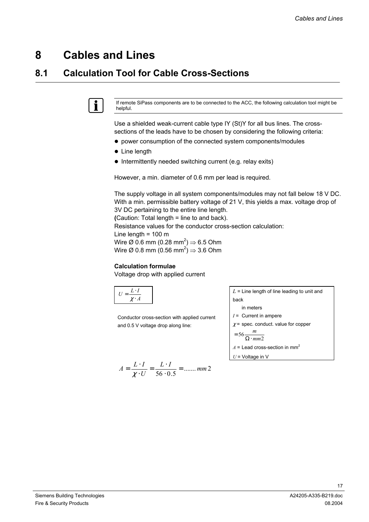### <span id="page-16-0"></span>**8 Cables and Lines**

#### **8.1 Calculation Tool for Cable Cross-Sections**



If remote SiPass components are to be connected to the ACC, the following calculation tool might be helpful.

Use a shielded weak-current cable type IY (St)Y for all bus lines. The crosssections of the leads have to be chosen by considering the following criteria:

- power consumption of the connected system components/modules
- $\bullet$  Line length
- $\bullet$  Intermittently needed switching current (e.g. relay exits)

However, a min. diameter of 0.6 mm per lead is required.

The supply voltage in all system components/modules may not fall below 18 V DC. With a min. permissible battery voltage of 21 V, this yields a max. voltage drop of 3V DC pertaining to the entire line length.

**(**Caution: Total length = line to and back).

Resistance values for the conductor cross-section calculation:

Line length =  $100 \text{ m}$ 

Wire Ø 0.6 mm (0.28 mm<sup>2</sup>)  $\Rightarrow$  6.5 Ohm Wire Ø 0.8 mm (0.56 mm<sup>2</sup>)  $\Rightarrow$  3.6 Ohm

#### **Calculation formulae**

Voltage drop with applied current

| ν |
|---|

Conductor cross-section with applied current and 0.5 V voltage drop along line:

$$
A = \frac{L \cdot I}{\chi \cdot U} = \frac{L \cdot I}{56 \cdot 0.5} = \dots \dots m m 2
$$

*L* = Line length of line leading to unit and back in meters

- 
- *I* = Current in ampere
- $\chi$  = spec. conduct. value for copper

$$
= 56 \frac{m}{\Omega \cdot mm2}
$$

 $A =$  Lead cross-section in mm<sup>2</sup>

*U* = Voltage in V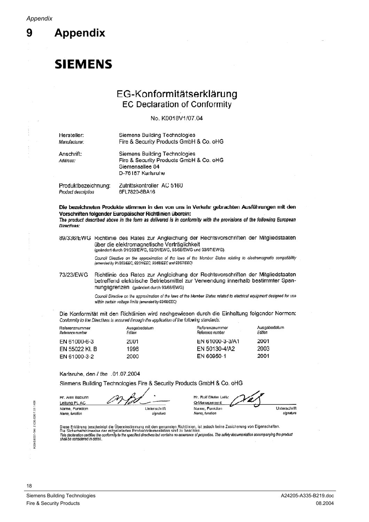<span id="page-17-0"></span>9

**Appendix** 

## **SIEMENS**

#### EG-Konformitätserklärung **EC Declaration of Conformity**

#### No. K0018V1/07.04

| Hersteller:<br>Manufacturer: | <b>Siemens Building Technologies</b><br>Fire & Security Products GmbH & Co. oHG                                  |
|------------------------------|------------------------------------------------------------------------------------------------------------------|
| Anschrift:<br>Address:       | Siemens Building Technologies<br>Fire & Security Products GmbH & Co. oHG<br>Siemensallee 84<br>D-76187 Karlsruhe |
| Produktbezeichnung:          | Zutrittskontroller AC 5160                                                                                       |

Product description 6FL7820-8BA16 Die bezeichneten Produkte stimmen in den von uns in Verkehr gebrachten Ausführungen mit den

Vorschriften folgender Europäischer Richtlinien überein: The product described above in the form as delivered is in conformity with the provisions of the following European Directives:

89/336/EWG Richtlinie des Rates zur Angleichung der Rechtsvorschriften der Mitgliedstaaten über die elektromagnetische Verträglichkeit (geändert durch 91/263/EWG, 92/31/EWG, 93/68/EWG und 93/97/EWG).

> Council Directive on the approximation of the laws of the Member States relating to electromagnetic compatibility (amended by 91/263/EEC, 92/31/EEC, 93/68/EEC and 93/97/EEC)

Richtlinie des Rates zur Angleichung der Rechtsvorschriften der Mitgliedstaaten 73/23/EWG betreffend elektrische Betriebsmittel zur Verwendung innerhalb bestimmter Spannungsgrenzen (geändert durch 93/68/EWG)

> Council Directive on the approximation of the laws of the Member States related to electrical equipment designed for use within certain voltage limits (amended by 93/68/EEC)

Die Konformität mit den Richtlinien wird nachgewiesen durch die Einhaltung folgender Normen: Conformity to the Directives is assured through the application of the following standards:

| Referenznummer<br>Reference number | Ausgabedatum<br>Edition | Referenznummer<br>Reference number | Ausgabedatum<br>Edition |
|------------------------------------|-------------------------|------------------------------------|-------------------------|
| EN 61000-6-3                       | 2001                    | EN 61000-3-3/A1                    | 2001                    |
| EN 55022 KI. B                     | 1998                    | EN 50130-4/A2                      | 2003                    |
| EN 61000-3-2                       | 2000                    | EN 60950-1                         | 2001                    |
|                                    |                         |                                    |                         |

Karlsruhe, den / the .01.07.2004

Siemens Building Technologies Fire & Security Products GmbH & Co. oHG

Hr. Alex Baburin Leitung PL AC Name, Funktion Unterschrift Name, function signature

Hr. Rolf Dieter Leitz Q-Management Name, Funktion Name, function

Unterschrift signature

Diese Erklärung bescheinigt die Übereinstimmung mit den genannten Richtlinien, ist jedoch keine Zusicherung von Eigenschaften.<br>Die Sicherheitshinweise der mitgelieferten Produktdokumentation sind zu beachten.<br>This declarat

18

 $\frac{5}{45}$